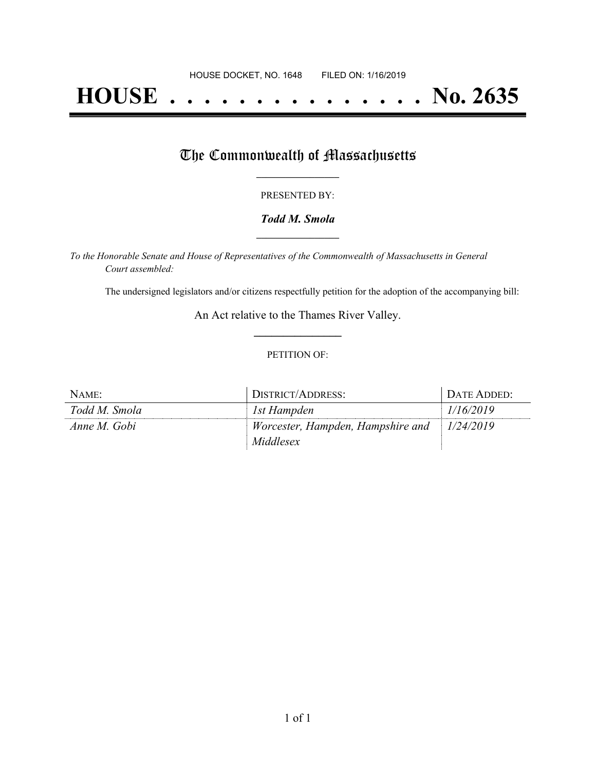# **HOUSE . . . . . . . . . . . . . . . No. 2635**

## The Commonwealth of Massachusetts

#### PRESENTED BY:

#### *Todd M. Smola* **\_\_\_\_\_\_\_\_\_\_\_\_\_\_\_\_\_**

*To the Honorable Senate and House of Representatives of the Commonwealth of Massachusetts in General Court assembled:*

The undersigned legislators and/or citizens respectfully petition for the adoption of the accompanying bill:

An Act relative to the Thames River Valley. **\_\_\_\_\_\_\_\_\_\_\_\_\_\_\_**

#### PETITION OF:

| NAME:         | DISTRICT/ADDRESS:                 | DATE ADDED: |
|---------------|-----------------------------------|-------------|
| Todd M. Smola | 1st Hampden                       | 1/16/2019   |
| Anne M. Gobi  | Worcester, Hampden, Hampshire and | 1/24/2019   |
|               | Middlesex                         |             |